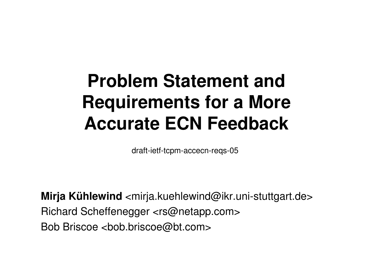### **Problem Statement and Requirements for a MoreAccurate ECN Feedback**

draft-ietf-tcpm-accecn-reqs-05

**Mirja Kühlewind** <mirja.kuehlewind@ikr.uni-stuttgart.de> Richard Scheffenegger <rs@netapp.com>Bob Briscoe <bob.briscoe@bt.com>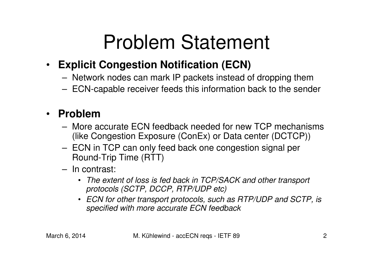## Problem Statement

### $\bullet$ **Explicit Congestion Notification (ECN)**

- Network nodes can mark IP packets instead of dropping them
- ECN-capable receiver feeds this information back to the sender

### •**Problem**

- – More accurate ECN feedback needed for new TCP mechanisms (like Congestion Exposure (ConEx) or Data center (DCTCP))
- ECN in TCP can only feed back one congestion signal per Round-Trip Time (RTT)
- – In contrast:
	- The extent of loss is fed back in TCP/SACK and other transport protocols (SCTP, DCCP, RTP/UDP etc)
	- ECN for other transport protocols, such as RTP/UDP and SCTP, is specified with more accurate ECN feedback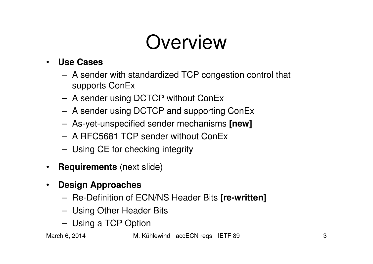## **Overview**

#### •**Use Cases**

- A sender with standardized TCP congestion control that supports ConEx
- A sender using DCTCP without ConEx
- A sender using DCTCP and supporting ConEx
- As-yet-unspecified sender mechanisms **[new]**
- A RFC5681 TCP sender without ConEx
- Using CE for checking integrity
- **Requirements** (next slide)
- $\bullet$  **Design Approaches**
	- Re-Definition of ECN/NS Header Bits **[re-written]**
	- Using Other Header Bits
	- Using a TCP Option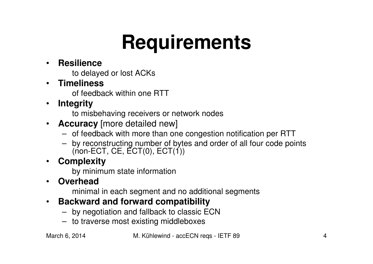# **Requirements**

#### •**Resilience**

to delayed or lost ACKs

#### •**Timeliness**

of feedback within one RTT

•**Integrity**

to misbehaving receivers or network nodes

- $\bullet$  **Accuracy** [more detailed new]
	- of feedback with more than one congestion notification per RTT
	- by reconstructing number of bytes and order of all four code points (non-ECT, CE, ECT(0), ECT(1))

#### $\bullet$ **Complexity**

by minimum state information

•**Overhead**

minimal in each segment and no additional segments

#### $\bullet$ **Backward and forward compatibility**

- by negotiation and fallback to classic ECN
- to traverse most existing middleboxes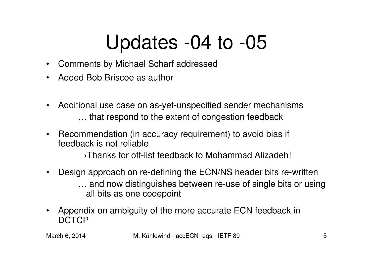### Updates -04 to -05

- $\bullet$ Comments by Michael Scharf addressed
- •Added Bob Briscoe as author
- $\bullet$  Additional use case on as-yet-unspecified sender mechanisms… that respond to the extent of congestion feedback
- $\bullet$  Recommendation (in accuracy requirement) to avoid bias if feedback is not reliable

 $\rightarrow$ Thanks for off-list feedback to Mohammad Alizadeh!

- $\bullet$  Design approach on re-defining the ECN/NS header bits re-written … and now distinguishes between re-use of single bits or using all bits as one codepoint
- $\bullet$  Appendix on ambiguity of the more accurate ECN feedback in DCTCP